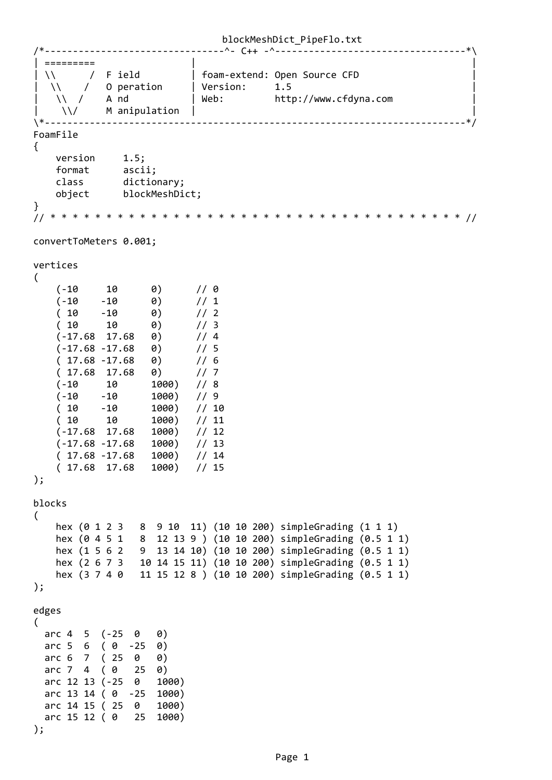```
/*‐‐‐‐‐‐‐‐‐‐‐‐‐‐‐‐‐‐‐‐‐‐‐‐‐‐‐‐‐‐‐‐^‐ C++ ‐^‐‐‐‐‐‐‐‐‐‐‐‐‐‐‐‐‐‐‐‐‐‐‐‐‐‐‐‐‐‐‐‐‐‐*\
| =========                 |                                                 |
\vert \setminus \setminus / F ield \vert foam-extend: Open Source CFD \vert|  \\    /   O peration     | Version:     1.5                                |
|\hspace{.1cm} \setminus \hspace{.1cm} \setminus \hspace{.1cm} \hspace{.1cm} \hspace{.1cm} \hspace{.1cm} \hspace{.1cm} \} Web: http://www.cfdyna.com |\hspace{.1cm} \setminus \hspace{.1cm} \setminus \hspace{.1cm} \hspace{.1cm} \hspace{.1cm} \hspace{.1cm} \}\setminus\setminus/ M anipulation |
\*‐‐‐‐‐‐‐‐‐‐‐‐‐‐‐‐‐‐‐‐‐‐‐‐‐‐‐‐‐‐‐‐‐‐‐‐‐‐‐‐‐‐‐‐‐‐‐‐‐‐‐‐‐‐‐‐‐‐‐‐‐‐‐‐‐‐‐‐‐‐‐‐‐‐‐*/
FoamFile
{
     version 1.5;
    format      ascii;
    class       dictionary;
         object      blockMeshDict;
}
// * * * * * * * * * * * * * * * * * * * * * * * * * * * * * * * * * * * * * //
convertToMeters 0.001;
vertices
(
     (-10 \t 10 \t 0) // 0
     (10 -10 0) / / 1<br>
(10 -10 0) / / 2\begin{array}{cccc} -2 & 0 & 0 & 0 & 0 \\ -10 & 0 & 0 & 0 & 0 \\ 10 & 0 & 0 & 0 & 0 \\ 17.68 & 0 & 0 & 0 & 0 \\ -17.68 & 0 & 0 & 0 & 0 \\ 0 & 0 & 0 & 0 & 0 \\ 0 & 0 & 0 & 0 & 0 \\ 0 & 0 & 0 & 0 & 0 \\ 0 & 0 & 0 & 0 & 0 \\ 0 & 0 & 0 & 0 & 0 \\ 0 & 0 & 0 & 0 & 0 \\ 0 & 0 & 0 & 0 & 0 \\ 0 & 0 & 0 & 0 & 0 \\ 0 & 0 & 0(10 10 0)(-17.68 \t17.68 \t0)(-17.68 - 17.68 0)    ( 17.68 ‐17.68   0)      // 6
    ( 17.68  17.68   0)      // 7
    (‐10     10      1000)   // 8
    (‐10    ‐10      1000)   // 9
    ( 10    ‐10      1000)   // 10
    ( 10     10      1000)   // 11
    (‐17.68  17.68   1000)   // 12
    (‐17.68 ‐17.68   1000)   // 13
     (17.68 - 17.68 1000) // 14
         ( 17.68  17.68   1000)   // 15
);
blocks
(
         hex (0 1 2 3   8  9 10  11) (10 10 200) simpleGrading (1 1 1)
         hex (0 4 5 1   8  12 13 9 ) (10 10 200) simpleGrading (0.5 1 1)
     hex (1\ 5\ 6\ 2\ 9\ 13\ 14\ 10) (10\ 10\ 200) simpleGrading (0.5\ 1\ 1)    hex (2 6 7 3   10 14 15 11) (10 10 200) simpleGrading (0.5 1 1)
         hex (3 7 4 0   11 15 12 8 ) (10 10 200) simpleGrading (0.5 1 1)
);
edges
(
  arc 4 \quad 5 \quad (-25 \quad 0 \quad 0)arc 5 \t6 \t(0 \t -25 \t0)arc 6 7 (25 0 0)arc 7 \quad 4 \quad (0 \quad 25 \quad 0)  arc 12 13 (‐25  0   1000)
    arc 13 14 ( 0  ‐25  1000)
    arc 14 15 ( 25  0   1000)
    arc 15 12 ( 0   25  1000)
);
```
Page 1